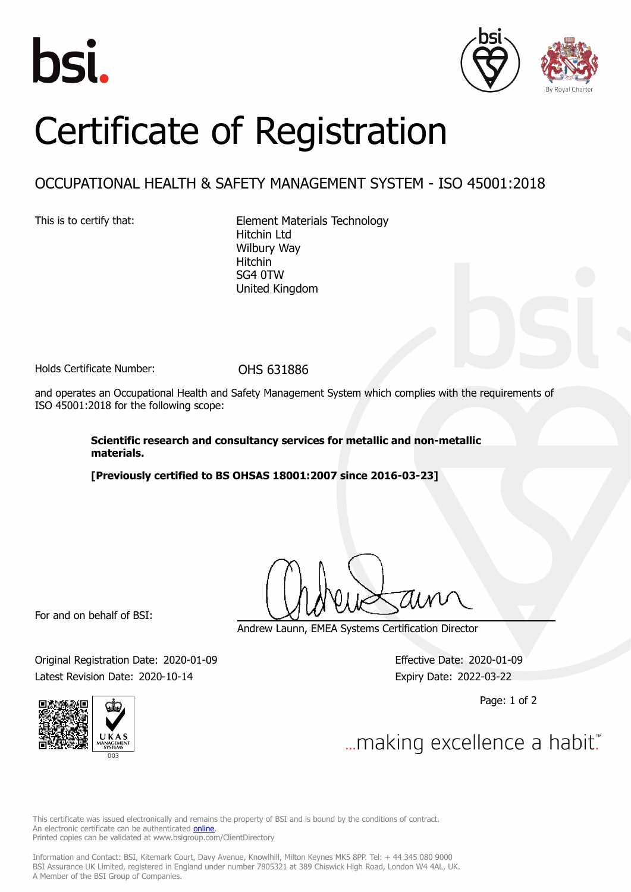





## Certificate of Registration

## OCCUPATIONAL HEALTH & SAFETY MANAGEMENT SYSTEM - ISO 45001:2018

This is to certify that: Element Materials Technology Hitchin Ltd Wilbury Way Hitchin SG4 0TW United Kingdom

Holds Certificate Number: OHS 631886

and operates an Occupational Health and Safety Management System which complies with the requirements of ISO 45001:2018 for the following scope:

> **Scientific research and consultancy services for metallic and non-metallic materials.**

**[Previously certified to BS OHSAS 18001:2007 since 2016-03-23]**

For and on behalf of BSI:

Andrew Launn, EMEA Systems Certification Director

Original Registration Date: 2020-01-09 Effective Date: 2020-01-09 Latest Revision Date: 2020-10-14 Expiry Date: 2022-03-22

Page: 1 of 2



... making excellence a habit."

This certificate was issued electronically and remains the property of BSI and is bound by the conditions of contract. An electronic certificate can be authenticated **[online](https://pgplus.bsigroup.com/CertificateValidation/CertificateValidator.aspx?CertificateNumber=OHS+631886&ReIssueDate=14%2f10%2f2020&Template=uk)** Printed copies can be validated at www.bsigroup.com/ClientDirectory

Information and Contact: BSI, Kitemark Court, Davy Avenue, Knowlhill, Milton Keynes MK5 8PP. Tel: + 44 345 080 9000 BSI Assurance UK Limited, registered in England under number 7805321 at 389 Chiswick High Road, London W4 4AL, UK. A Member of the BSI Group of Companies.